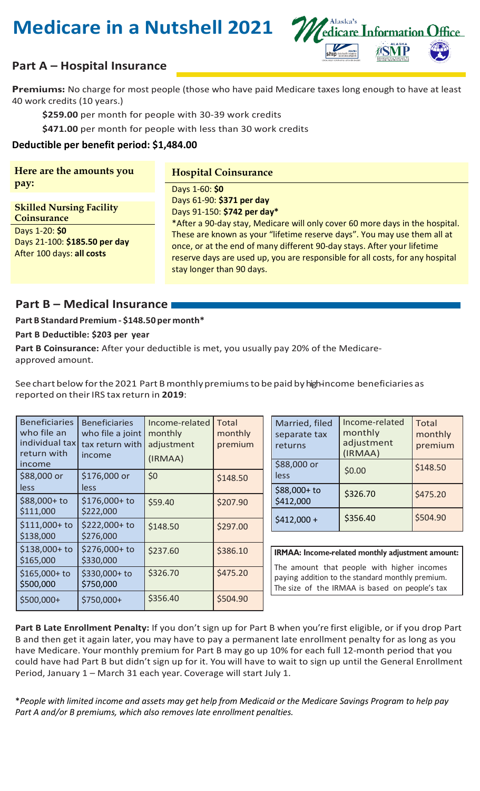# **Medicare in a Nutshell 2021**



## **Part A – Hospital Insurance**

**Premiums:** No charge for most people (those who have paid Medicare taxes long enough to have at least 40 work credits (10 years.)

**\$259.00** per month for people with 30-39 work credits

**\$471.00** per month for people with less than 30 work credits

### **Deductible per benefit period: \$1,484.00**

**Here are the amounts you pay:**

**Skilled Nursing Facility Coinsurance** Days 1-20: **\$0** Days 21-100: **\$185.50 per day**  After 100 days: **all costs**

**Hospital Coinsurance**

Days 1-60: **\$0** Days 61-90: **\$371 per day**  Days 91-150: **\$742 per day\***

\*After a 90-day stay, Medicare will only cover 60 more days in the hospital. These are known as your "lifetime reserve days". You may use them all at once, or at the end of many different 90-day stays. After your lifetime reserve days are used up, you are responsible for all costs, for any hospital stay longer than 90 days.

## **Part B – Medical Insurance**

#### **Part B Standard Premium - \$148.50 per month\***

#### **Part B Deductible: \$203 per year**

**Part B Coinsurance:** After your deductible is met, you usually pay 20% of the Medicareapproved amount.

See chart below for the 2021 Part B monthly premiums to be paid by high-income beneficiaries as reported on their IRS tax return in 2019:

| <b>Beneficiaries</b><br>who file an<br>individual tax<br>return with<br>income | <b>Beneficiaries</b><br>who file a joint<br>tax return with<br>income | Income-related<br>monthly<br>adjustment<br>(IRMAA) | <b>Total</b><br>monthly<br>premium |                                                  | Married, filed<br>separate tax<br>returns<br>\$88,000 or                                                                                         | Income-related<br>monthly<br>adjustment<br>(IRMAA) | <b>Total</b><br>monthly<br>premium<br>\$148.50 |
|--------------------------------------------------------------------------------|-----------------------------------------------------------------------|----------------------------------------------------|------------------------------------|--------------------------------------------------|--------------------------------------------------------------------------------------------------------------------------------------------------|----------------------------------------------------|------------------------------------------------|
| \$88,000 or                                                                    | \$176,000 or                                                          | \$0                                                | \$148.50                           |                                                  | less                                                                                                                                             | \$0.00                                             |                                                |
| less<br>\$88,000+ to                                                           | less<br>$$176,000+$ to                                                | \$59.40                                            | \$207.90                           |                                                  | \$88,000+ to<br>\$412,000                                                                                                                        | \$326.70                                           | \$475.20                                       |
| \$111,000                                                                      | \$222,000                                                             |                                                    |                                    |                                                  |                                                                                                                                                  | \$356.40                                           | \$504.90                                       |
| $$111,000+$ to<br>\$138,000                                                    | \$222,000+ to<br>\$276,000                                            | \$148.50                                           | \$297.00                           |                                                  | $$412,000+$                                                                                                                                      |                                                    |                                                |
| $$138,000+$ to<br>\$165,000                                                    | \$276,000+ to<br>\$330,000                                            | \$237.60                                           | \$386.10                           | IRMAA: Income-related monthly adjustment amount: |                                                                                                                                                  |                                                    |                                                |
| $$165,000+$ to<br>\$500,000                                                    | \$330,000+ to<br>\$750,000                                            | \$326.70                                           | \$475.20                           |                                                  | The amount that people with higher incomes<br>paying addition to the standard monthly premium.<br>The size of the IRMAA is based on people's tax |                                                    |                                                |
| $$500,000+$                                                                    | $$750,000+$                                                           | \$356.40                                           | \$504.90                           |                                                  |                                                                                                                                                  |                                                    |                                                |

**Part B Late Enrollment Penalty:** If you don't sign up for Part B when you're first eligible, or if you drop Part B and then get it again later, you may have to pay a permanent late enrollment penalty for as long as you have Medicare. Your monthly premium for Part B may go up 10% for each full 12-month period that you could have had Part B but didn't sign up for it. You will have to wait to sign up until the General Enrollment Period, January 1 – March 31 each year. Coverage will start July 1.

\**People with limited income and assets may get help from Medicaid or the Medicare Savings Program to help pay Part A and/or B premiums, which also removes late enrollment penalties.*